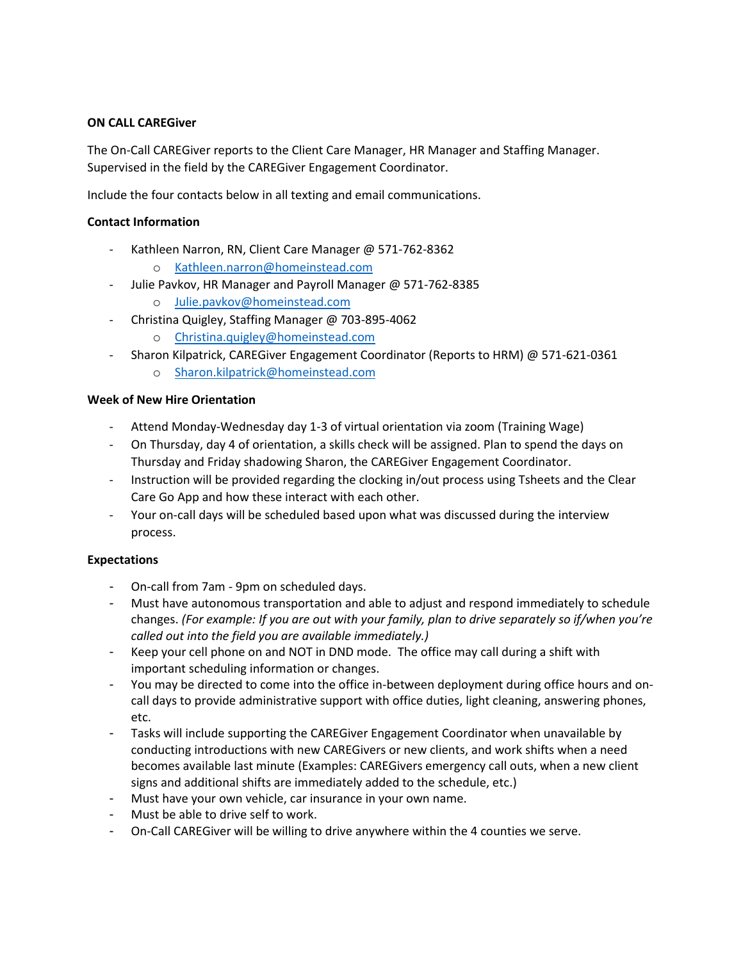# **ON CALL CAREGiver**

The On-Call CAREGiver reports to the Client Care Manager, HR Manager and Staffing Manager. Supervised in the field by the CAREGiver Engagement Coordinator.

Include the four contacts below in all texting and email communications.

### **Contact Information**

- Kathleen Narron, RN, Client Care Manager @ 571-762-8362
	- o [Kathleen.narron@homeinstead.com](mailto:Kathleen.narron@homeinstead.com)
- Julie Pavkov, HR Manager and Payroll Manager @ 571-762-8385
	- o [Julie.pavkov@homeinstead.com](mailto:Julie.pavkov@homeinstead.com)
- Christina Quigley, Staffing Manager @ 703-895-4062
	- o [Christina.quigley@homeinstead.com](mailto:Christina.quigley@homeinstead.com)
- Sharon Kilpatrick, CAREGiver Engagement Coordinator (Reports to HRM) @ 571-621-0361
	- o [Sharon.kilpatrick@homeinstead.com](mailto:Sharon.kilpatrick@homeinstead.com)

### **Week of New Hire Orientation**

- Attend Monday-Wednesday day 1-3 of virtual orientation via zoom (Training Wage)
- On Thursday, day 4 of orientation, a skills check will be assigned. Plan to spend the days on Thursday and Friday shadowing Sharon, the CAREGiver Engagement Coordinator.
- Instruction will be provided regarding the clocking in/out process using Tsheets and the Clear Care Go App and how these interact with each other.
- Your on-call days will be scheduled based upon what was discussed during the interview process.

### **Expectations**

- On-call from 7am 9pm on scheduled days.
- Must have autonomous transportation and able to adjust and respond immediately to schedule changes. *(For example: If you are out with your family, plan to drive separately so if/when you're called out into the field you are available immediately.)*
- Keep your cell phone on and NOT in DND mode. The office may call during a shift with important scheduling information or changes.
- You may be directed to come into the office in-between deployment during office hours and oncall days to provide administrative support with office duties, light cleaning, answering phones, etc.
- Tasks will include supporting the CAREGiver Engagement Coordinator when unavailable by conducting introductions with new CAREGivers or new clients, and work shifts when a need becomes available last minute (Examples: CAREGivers emergency call outs, when a new client signs and additional shifts are immediately added to the schedule, etc.)
- Must have your own vehicle, car insurance in your own name.
- Must be able to drive self to work.
- On-Call CAREGiver will be willing to drive anywhere within the 4 counties we serve.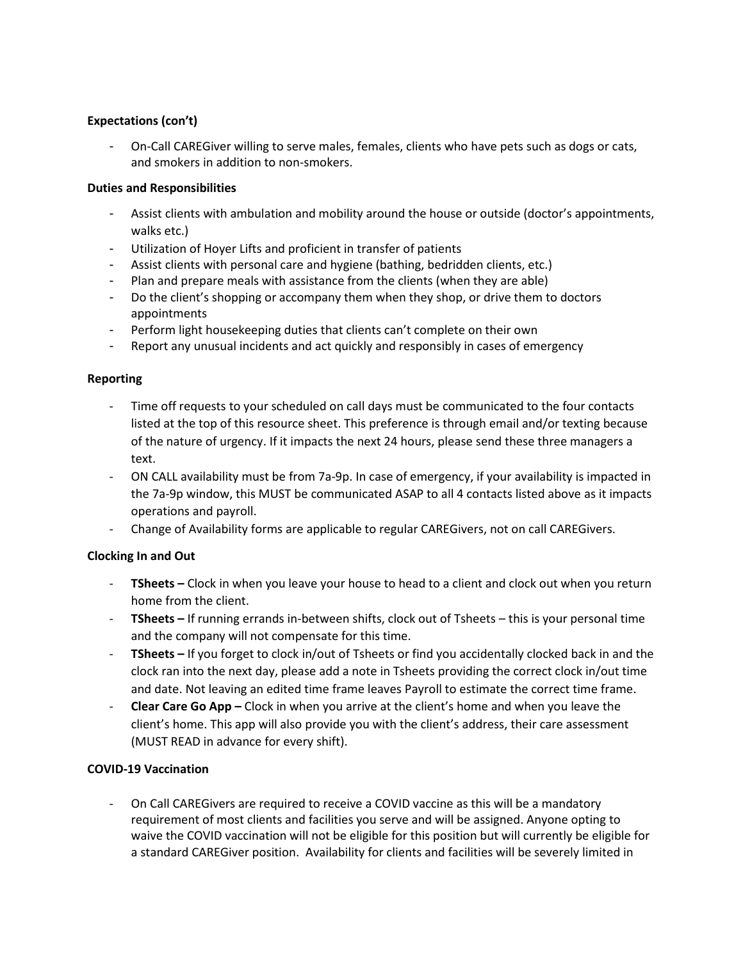# **Expectations (con't)**

- On-Call CAREGiver willing to serve males, females, clients who have pets such as dogs or cats, and smokers in addition to non-smokers.

### **Duties and Responsibilities**

- Assist clients with ambulation and mobility around the house or outside (doctor's appointments, walks etc.)
- Utilization of Hoyer Lifts and proficient in transfer of patients
- Assist clients with personal care and hygiene (bathing, bedridden clients, etc.)
- Plan and prepare meals with assistance from the clients (when they are able)
- Do the client's shopping or accompany them when they shop, or drive them to doctors appointments
- Perform light housekeeping duties that clients can't complete on their own
- Report any unusual incidents and act quickly and responsibly in cases of emergency

### **Reporting**

- Time off requests to your scheduled on call days must be communicated to the four contacts listed at the top of this resource sheet. This preference is through email and/or texting because of the nature of urgency. If it impacts the next 24 hours, please send these three managers a text.
- ON CALL availability must be from 7a-9p. In case of emergency, if your availability is impacted in the 7a-9p window, this MUST be communicated ASAP to all 4 contacts listed above as it impacts operations and payroll.
- Change of Availability forms are applicable to regular CAREGivers, not on call CAREGivers.

### **Clocking In and Out**

- **TSheets –** Clock in when you leave your house to head to a client and clock out when you return home from the client.
- **TSheets –** If running errands in-between shifts, clock out of Tsheets this is your personal time and the company will not compensate for this time.
- **TSheets –** If you forget to clock in/out of Tsheets or find you accidentally clocked back in and the clock ran into the next day, please add a note in Tsheets providing the correct clock in/out time and date. Not leaving an edited time frame leaves Payroll to estimate the correct time frame.
- **Clear Care Go App –** Clock in when you arrive at the client's home and when you leave the client's home. This app will also provide you with the client's address, their care assessment (MUST READ in advance for every shift).

### **COVID-19 Vaccination**

- On Call CAREGivers are required to receive a COVID vaccine as this will be a mandatory requirement of most clients and facilities you serve and will be assigned. Anyone opting to waive the COVID vaccination will not be eligible for this position but will currently be eligible for a standard CAREGiver position. Availability for clients and facilities will be severely limited in